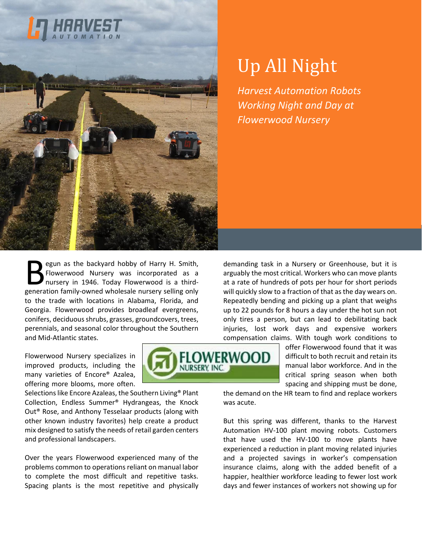

## Up All Night

*Harvest Automation Robots Working Night and Day at Flowerwood Nursery*

egun as the backyard hobby of Harry H. Smith, Flowerwood Nursery was incorporated as a nursery in 1946. Today Flowerwood is a thirdgeun as the backyard hobby of Harry H. Smith,<br>Flowerwood Nursery was incorporated as a<br>nursery in 1946. Today Flowerwood is a third-<br>generation family-owned wholesale nursery selling only to the trade with locations in Alabama, Florida, and Georgia. Flowerwood provides broadleaf evergreens, conifers, deciduous shrubs, grasses, groundcovers, trees, perennials, and seasonal color throughout the Southern and Mid-Atlantic states.

Flowerwood Nursery specializes in improved products, including the many varieties of Encore® Azalea, offering more blooms, more often.

Selections like Encore Azaleas, the Southern Living® Plant Collection, Endless Summer® Hydrangeas, the Knock Out® Rose, and Anthony Tesselaar products (along with other known industry favorites) help create a product mix designed to satisfy the needs of retail garden centers and professional landscapers.

Over the years Flowerwood experienced many of the problems common to operations reliant on manual labor to complete the most difficult and repetitive tasks. Spacing plants is the most repetitive and physically demanding task in a Nursery or Greenhouse, but it is arguably the most critical. Workers who can move plants at a rate of hundreds of pots per hour for short periods will quickly slow to a fraction of that as the day wears on. Repeatedly bending and picking up a plant that weighs up to 22 pounds for 8 hours a day under the hot sun not only tires a person, but can lead to debilitating back injuries, lost work days and expensive workers compensation claims. With tough work conditions to

> offer Flowerwood found that it was difficult to both recruit and retain its manual labor workforce. And in the critical spring season when both spacing and shipping must be done,

the demand on the HR team to find and replace workers was acute.

**FLOWERWOOD** 

But this spring was different, thanks to the Harvest Automation HV-100 plant moving robots. Customers that have used the HV-100 to move plants have experienced a reduction in plant moving related injuries and a projected savings in worker's compensation insurance claims, along with the added benefit of a happier, healthier workforce leading to fewer lost work days and fewer instances of workers not showing up for